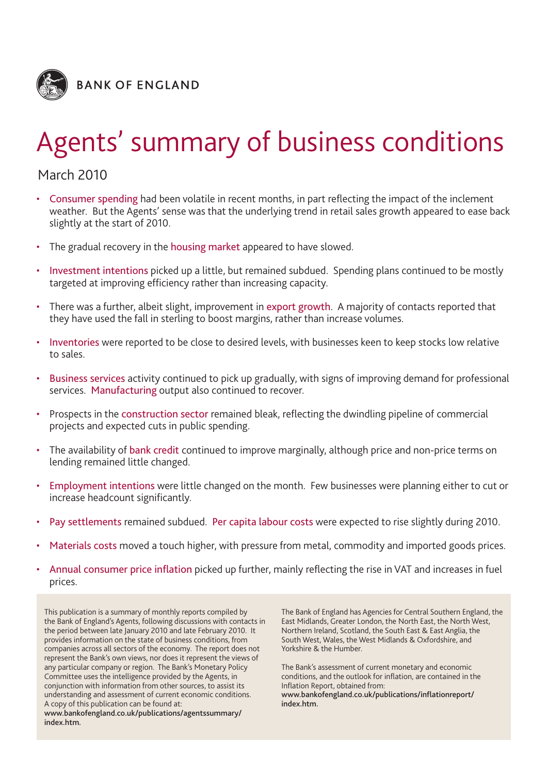

# Agents' summary of business conditions

## March 2010

- Consumer spending had been volatile in recent months, in part reflecting the impact of the inclement weather. But the Agents' sense was that the underlying trend in retail sales growth appeared to ease back slightly at the start of 2010.
- The gradual recovery in the housing market appeared to have slowed.
- Investment intentions picked up a little, but remained subdued. Spending plans continued to be mostly targeted at improving efficiency rather than increasing capacity.
- There was a further, albeit slight, improvement in export growth. A majority of contacts reported that they have used the fall in sterling to boost margins, rather than increase volumes.
- Inventories were reported to be close to desired levels, with businesses keen to keep stocks low relative to sales.
- Business services activity continued to pick up gradually, with signs of improving demand for professional services. Manufacturing output also continued to recover.
- Prospects in the construction sector remained bleak, reflecting the dwindling pipeline of commercial projects and expected cuts in public spending.
- The availability of bank credit continued to improve marginally, although price and non-price terms on lending remained little changed.
- Employment intentions were little changed on the month. Few businesses were planning either to cut or increase headcount significantly.
- Pay settlements remained subdued. Per capita labour costs were expected to rise slightly during 2010.
- Materials costs moved a touch higher, with pressure from metal, commodity and imported goods prices.
- Annual consumer price inflation picked up further, mainly reflecting the rise in VAT and increases in fuel prices.

This publication is a summary of monthly reports compiled by the Bank of England's Agents, following discussions with contacts in the period between late January 2010 and late February 2010. It provides information on the state of business conditions, from companies across all sectors of the economy. The report does not represent the Bank's own views, nor does it represent the views of any particular company or region. The Bank's Monetary Policy Committee uses the intelligence provided by the Agents, in conjunction with information from other sources, to assist its understanding and assessment of current economic conditions. A copy of this publication can be found at: **www.bankofengland.co.uk/publications/agentssummary/ index.htm.**

The Bank of England has Agencies for Central Southern England, the East Midlands, Greater London, the North East, the North West, Northern Ireland, Scotland, the South East & East Anglia, the South West, Wales, the West Midlands & Oxfordshire, and Yorkshire & the Humber.

The Bank's assessment of current monetary and economic conditions, and the outlook for inflation, are contained in the Inflation Report, obtained from: **www.bankofengland.co.uk/publications/inflationreport/ index.htm.**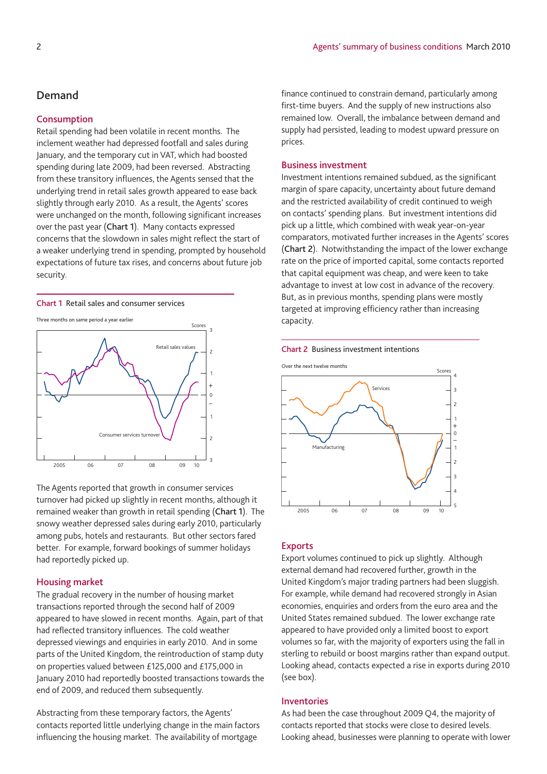## **Demand**

#### **Consumption**

Retail spending had been volatile in recent months. The inclement weather had depressed footfall and sales during January, and the temporary cut in VAT, which had boosted spending during late 2009, had been reversed. Abstracting from these transitory influences, the Agents sensed that the underlying trend in retail sales growth appeared to ease back slightly through early 2010. As a result, the Agents' scores were unchanged on the month, following significant increases over the past year (**Chart 1**). Many contacts expressed concerns that the slowdown in sales might reflect the start of a weaker underlying trend in spending, prompted by household expectations of future tax rises, and concerns about future job security.

**Chart 1** Retail sales and consumer services

Three months on same period a year earlier



The Agents reported that growth in consumer services turnover had picked up slightly in recent months, although it remained weaker than growth in retail spending (**Chart 1**). The snowy weather depressed sales during early 2010, particularly among pubs, hotels and restaurants. But other sectors fared better. For example, forward bookings of summer holidays had reportedly picked up.

#### **Housing market**

The gradual recovery in the number of housing market transactions reported through the second half of 2009 appeared to have slowed in recent months. Again, part of that had reflected transitory influences. The cold weather depressed viewings and enquiries in early 2010. And in some parts of the United Kingdom, the reintroduction of stamp duty on properties valued between £125,000 and £175,000 in January 2010 had reportedly boosted transactions towards the end of 2009, and reduced them subsequently.

Abstracting from these temporary factors, the Agents' contacts reported little underlying change in the main factors influencing the housing market. The availability of mortgage

finance continued to constrain demand, particularly among first-time buyers. And the supply of new instructions also remained low. Overall, the imbalance between demand and supply had persisted, leading to modest upward pressure on prices.

#### **Business investment**

Investment intentions remained subdued, as the significant margin of spare capacity, uncertainty about future demand and the restricted availability of credit continued to weigh on contacts' spending plans. But investment intentions did pick up a little, which combined with weak year-on-year comparators, motivated further increases in the Agents' scores (**Chart 2**). Notwithstanding the impact of the lower exchange rate on the price of imported capital, some contacts reported that capital equipment was cheap, and were keen to take advantage to invest at low cost in advance of the recovery. But, as in previous months, spending plans were mostly targeted at improving efficiency rather than increasing capacity.



#### **Chart 2** Business investment intentions

#### **Exports**

Export volumes continued to pick up slightly. Although external demand had recovered further, growth in the United Kingdom's major trading partners had been sluggish. For example, while demand had recovered strongly in Asian economies, enquiries and orders from the euro area and the United States remained subdued. The lower exchange rate appeared to have provided only a limited boost to export volumes so far, with the majority of exporters using the fall in sterling to rebuild or boost margins rather than expand output. Looking ahead, contacts expected a rise in exports during 2010 (see box).

#### **Inventories**

As had been the case throughout 2009 Q4, the majority of contacts reported that stocks were close to desired levels. Looking ahead, businesses were planning to operate with lower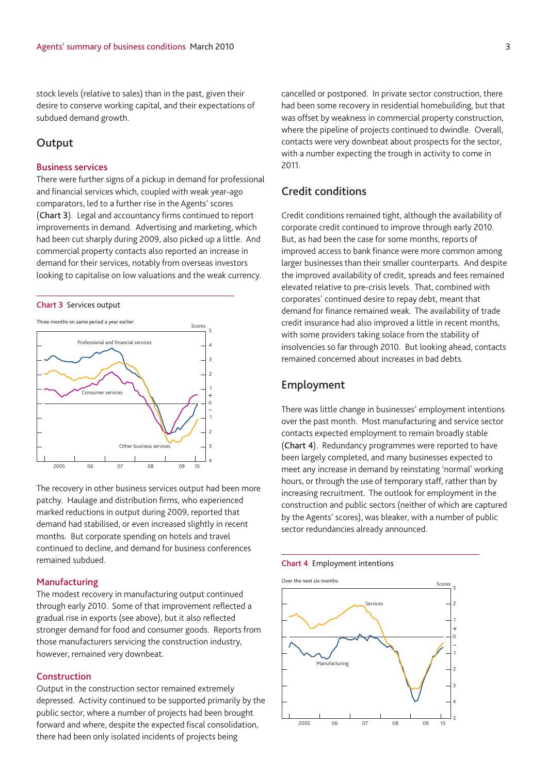stock levels (relative to sales) than in the past, given their desire to conserve working capital, and their expectations of subdued demand growth.

## **Output**

#### **Business services**

There were further signs of a pickup in demand for professional and financial services which, coupled with weak year-ago comparators, led to a further rise in the Agents' scores (**Chart 3**). Legal and accountancy firms continued to report improvements in demand. Advertising and marketing, which had been cut sharply during 2009, also picked up a little. And commercial property contacts also reported an increase in demand for their services, notably from overseas investors looking to capitalise on low valuations and the weak currency.





The recovery in other business services output had been more patchy. Haulage and distribution firms, who experienced marked reductions in output during 2009, reported that demand had stabilised, or even increased slightly in recent months. But corporate spending on hotels and travel continued to decline, and demand for business conferences remained subdued.

#### **Manufacturing**

The modest recovery in manufacturing output continued through early 2010. Some of that improvement reflected a gradual rise in exports (see above), but it also reflected stronger demand for food and consumer goods. Reports from those manufacturers servicing the construction industry, however, remained very downbeat.

#### **Construction**

Output in the construction sector remained extremely depressed. Activity continued to be supported primarily by the public sector, where a number of projects had been brought forward and where, despite the expected fiscal consolidation, there had been only isolated incidents of projects being

cancelled or postponed. In private sector construction, there had been some recovery in residential homebuilding, but that was offset by weakness in commercial property construction, where the pipeline of projects continued to dwindle. Overall, contacts were very downbeat about prospects for the sector, with a number expecting the trough in activity to come in 2011.

## **Credit conditions**

Credit conditions remained tight, although the availability of corporate credit continued to improve through early 2010. But, as had been the case for some months, reports of improved access to bank finance were more common among larger businesses than their smaller counterparts. And despite the improved availability of credit, spreads and fees remained elevated relative to pre-crisis levels. That, combined with corporates' continued desire to repay debt, meant that demand for finance remained weak. The availability of trade credit insurance had also improved a little in recent months, with some providers taking solace from the stability of insolvencies so far through 2010. But looking ahead, contacts remained concerned about increases in bad debts.

## **Employment**

There was little change in businesses' employment intentions over the past month. Most manufacturing and service sector contacts expected employment to remain broadly stable (**Chart 4**). Redundancy programmes were reported to have been largely completed, and many businesses expected to meet any increase in demand by reinstating 'normal' working hours, or through the use of temporary staff, rather than by increasing recruitment. The outlook for employment in the construction and public sectors (neither of which are captured by the Agents' scores), was bleaker, with a number of public sector redundancies already announced.

#### **Chart 4** Employment intentions

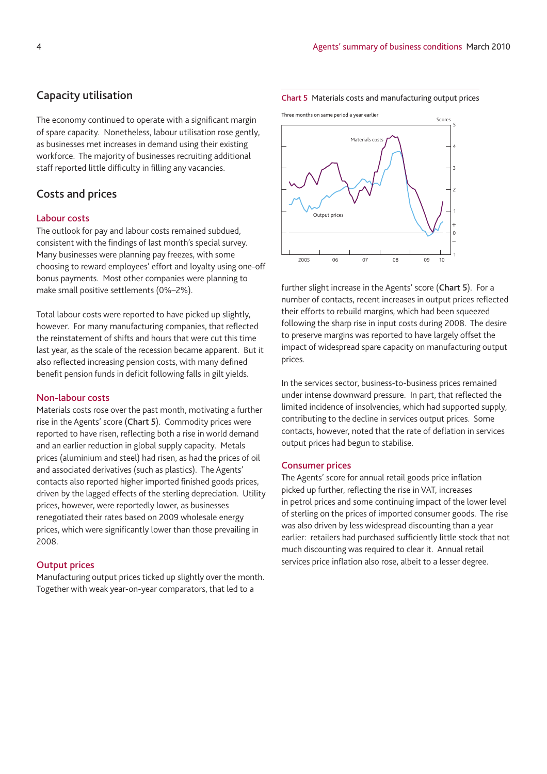## **Capacity utilisation**

The economy continued to operate with a significant margin of spare capacity. Nonetheless, labour utilisation rose gently, as businesses met increases in demand using their existing workforce. The majority of businesses recruiting additional staff reported little difficulty in filling any vacancies.

## **Costs and prices**

#### **Labour costs**

The outlook for pay and labour costs remained subdued, consistent with the findings of last month's special survey. Many businesses were planning pay freezes, with some choosing to reward employees' effort and loyalty using one-off bonus payments. Most other companies were planning to make small positive settlements (0%–2%).

Total labour costs were reported to have picked up slightly, however. For many manufacturing companies, that reflected the reinstatement of shifts and hours that were cut this time last year, as the scale of the recession became apparent. But it also reflected increasing pension costs, with many defined benefit pension funds in deficit following falls in gilt yields.

#### **Non-labour costs**

Materials costs rose over the past month, motivating a further rise in the Agents' score (**Chart 5**). Commodity prices were reported to have risen, reflecting both a rise in world demand and an earlier reduction in global supply capacity. Metals prices (aluminium and steel) had risen, as had the prices of oil and associated derivatives (such as plastics). The Agents' contacts also reported higher imported finished goods prices, driven by the lagged effects of the sterling depreciation. Utility prices, however, were reportedly lower, as businesses renegotiated their rates based on 2009 wholesale energy prices, which were significantly lower than those prevailing in 2008.

#### **Output prices**

Manufacturing output prices ticked up slightly over the month. Together with weak year-on-year comparators, that led to a





further slight increase in the Agents' score (**Chart 5**). For a number of contacts, recent increases in output prices reflected their efforts to rebuild margins, which had been squeezed following the sharp rise in input costs during 2008. The desire to preserve margins was reported to have largely offset the impact of widespread spare capacity on manufacturing output prices.

In the services sector, business-to-business prices remained under intense downward pressure. In part, that reflected the limited incidence of insolvencies, which had supported supply, contributing to the decline in services output prices. Some contacts, however, noted that the rate of deflation in services output prices had begun to stabilise.

#### **Consumer prices**

The Agents' score for annual retail goods price inflation picked up further, reflecting the rise in VAT, increases in petrol prices and some continuing impact of the lower level of sterling on the prices of imported consumer goods. The rise was also driven by less widespread discounting than a year earlier: retailers had purchased sufficiently little stock that not much discounting was required to clear it. Annual retail services price inflation also rose, albeit to a lesser degree.